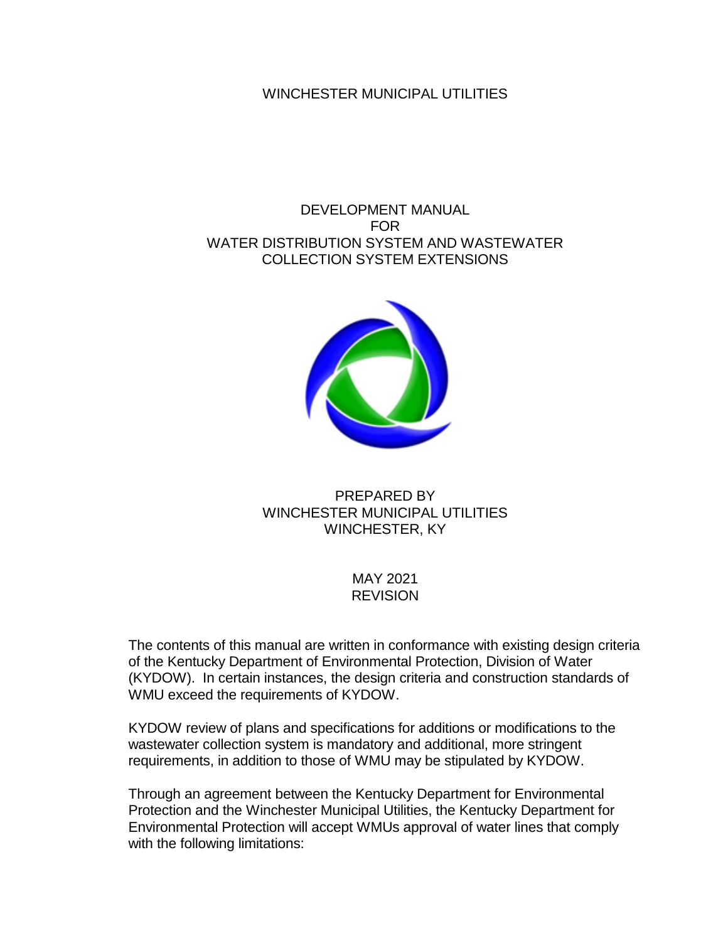### WINCHESTER MUNICIPAL UTILITIES

### DEVELOPMENT MANUAL FOR WATER DISTRIBUTION SYSTEM AND WASTEWATER COLLECTION SYSTEM EXTENSIONS



### PREPARED BY WINCHESTER MUNICIPAL UTILITIES WINCHESTER, KY

### MAY 2021 **REVISION**

The contents of this manual are written in conformance with existing design criteria of the Kentucky Department of Environmental Protection, Division of Water (KYDOW). In certain instances, the design criteria and construction standards of WMU exceed the requirements of KYDOW.

KYDOW review of plans and specifications for additions or modifications to the wastewater collection system is mandatory and additional, more stringent requirements, in addition to those of WMU may be stipulated by KYDOW.

Through an agreement between the Kentucky Department for Environmental Protection and the Winchester Municipal Utilities, the Kentucky Department for Environmental Protection will accept WMUs approval of water lines that comply with the following limitations: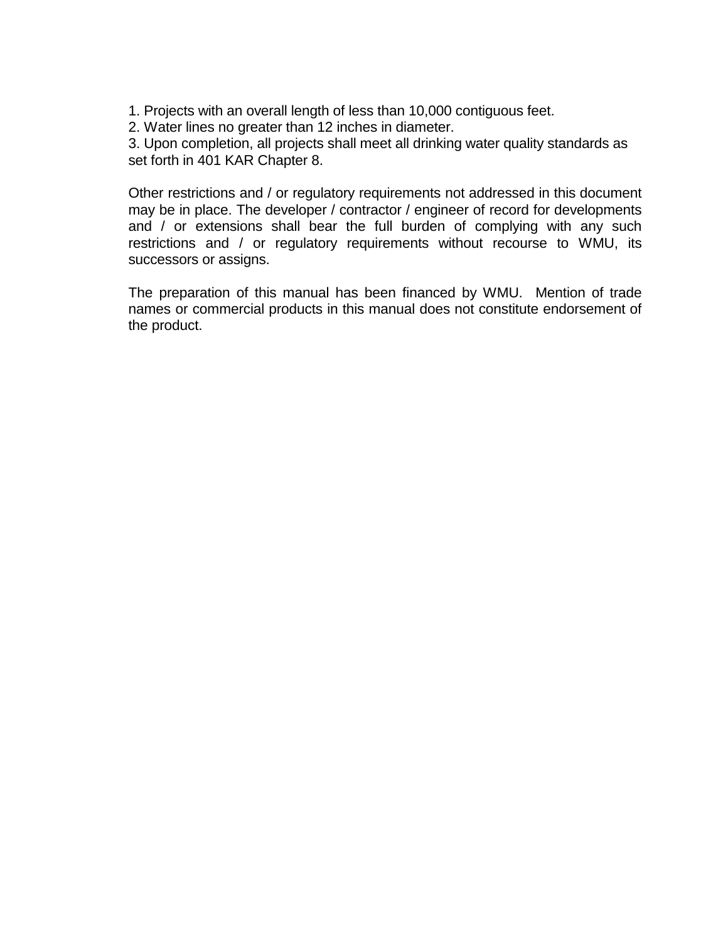- 1. Projects with an overall length of less than 10,000 contiguous feet.
- 2. Water lines no greater than 12 inches in diameter.

3. Upon completion, all projects shall meet all drinking water quality standards as set forth in 401 KAR Chapter 8.

Other restrictions and / or regulatory requirements not addressed in this document may be in place. The developer / contractor / engineer of record for developments and / or extensions shall bear the full burden of complying with any such restrictions and / or regulatory requirements without recourse to WMU, its successors or assigns.

The preparation of this manual has been financed by WMU. Mention of trade names or commercial products in this manual does not constitute endorsement of the product.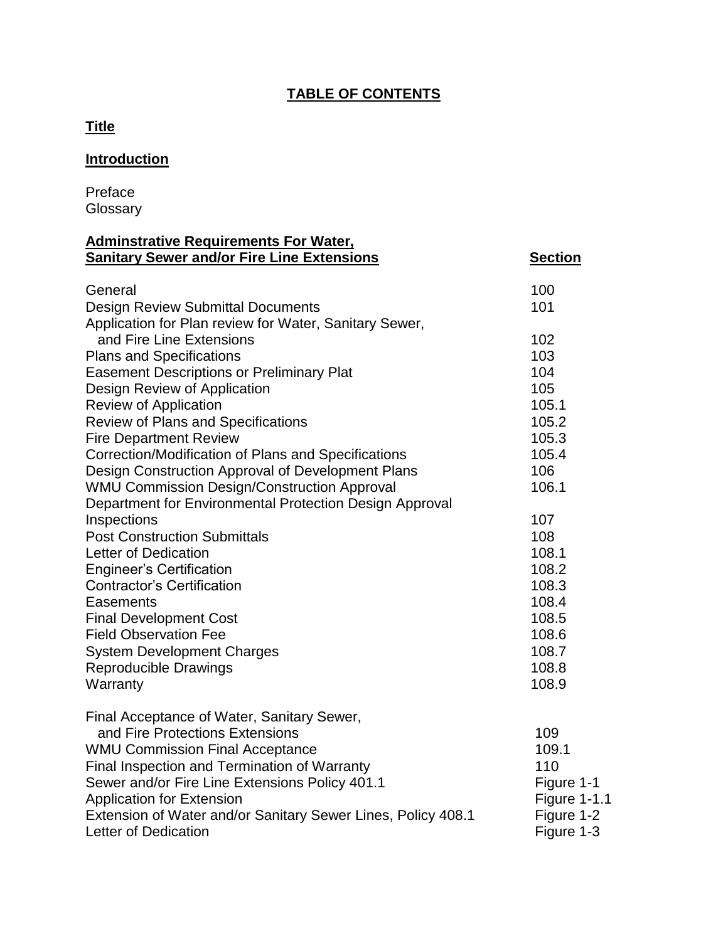# **TABLE OF CONTENTS**

# **Title**

# **Introduction**

Preface **Glossary** 

#### **Adminstrative Requirements For Water, Sanitary Sewer and/or Fire Line Extensions Section**

| General<br><b>Design Review Submittal Documents</b>          | 100<br>101          |
|--------------------------------------------------------------|---------------------|
| Application for Plan review for Water, Sanitary Sewer,       |                     |
| and Fire Line Extensions                                     | 102                 |
| <b>Plans and Specifications</b>                              | 103                 |
| <b>Easement Descriptions or Preliminary Plat</b>             | 104                 |
| Design Review of Application                                 | 105                 |
| <b>Review of Application</b>                                 | 105.1               |
| <b>Review of Plans and Specifications</b>                    | 105.2               |
| <b>Fire Department Review</b>                                | 105.3               |
| Correction/Modification of Plans and Specifications          | 105.4               |
| Design Construction Approval of Development Plans            | 106                 |
| <b>WMU Commission Design/Construction Approval</b>           | 106.1               |
| Department for Environmental Protection Design Approval      |                     |
| Inspections                                                  | 107                 |
| <b>Post Construction Submittals</b>                          | 108                 |
| Letter of Dedication                                         | 108.1               |
| <b>Engineer's Certification</b>                              | 108.2               |
| <b>Contractor's Certification</b>                            | 108.3               |
| Easements                                                    | 108.4               |
| <b>Final Development Cost</b>                                | 108.5               |
| <b>Field Observation Fee</b>                                 | 108.6               |
| <b>System Development Charges</b>                            | 108.7               |
| <b>Reproducible Drawings</b>                                 | 108.8               |
| Warranty                                                     | 108.9               |
| Final Acceptance of Water, Sanitary Sewer,                   |                     |
| and Fire Protections Extensions                              | 109                 |
| <b>WMU Commission Final Acceptance</b>                       | 109.1               |
| Final Inspection and Termination of Warranty                 | 110                 |
| Sewer and/or Fire Line Extensions Policy 401.1               | Figure 1-1          |
| <b>Application for Extension</b>                             | <b>Figure 1-1.1</b> |
| Extension of Water and/or Sanitary Sewer Lines, Policy 408.1 | Figure 1-2          |
| Letter of Dedication                                         | Figure 1-3          |
|                                                              |                     |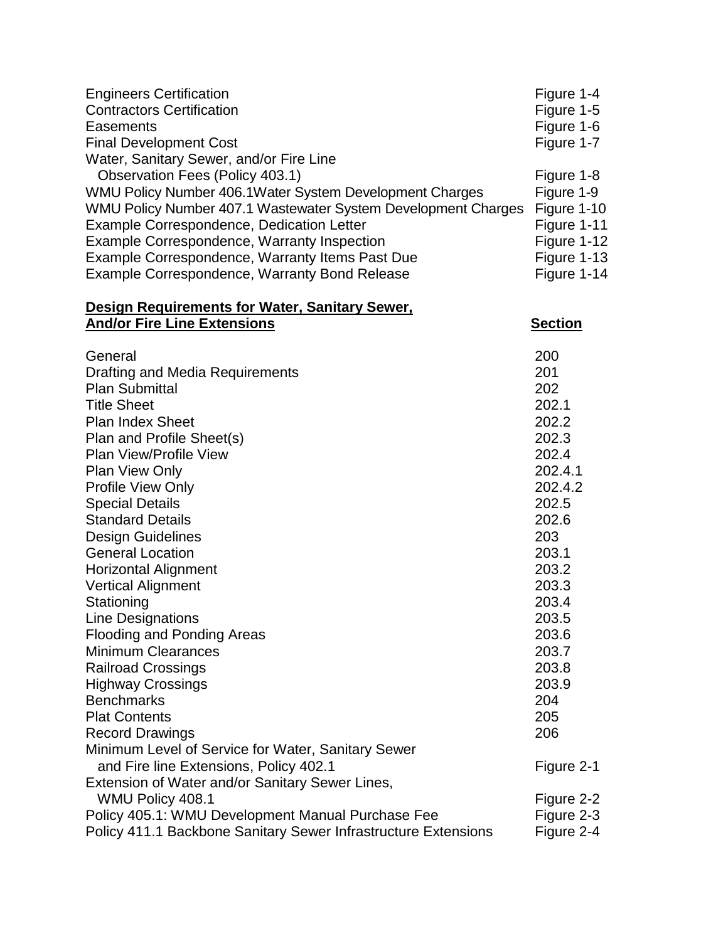| <b>Engineers Certification</b>                                | Figure 1-4  |
|---------------------------------------------------------------|-------------|
| <b>Contractors Certification</b>                              | Figure 1-5  |
| Easements                                                     | Figure 1-6  |
| <b>Final Development Cost</b>                                 | Figure 1-7  |
| Water, Sanitary Sewer, and/or Fire Line                       |             |
| Observation Fees (Policy 403.1)                               | Figure 1-8  |
| WMU Policy Number 406.1 Water System Development Charges      | Figure 1-9  |
| WMU Policy Number 407.1 Wastewater System Development Charges | Figure 1-10 |
| Example Correspondence, Dedication Letter                     | Figure 1-11 |
| Example Correspondence, Warranty Inspection                   | Figure 1-12 |
| Example Correspondence, Warranty Items Past Due               | Figure 1-13 |
| Example Correspondence, Warranty Bond Release                 | Figure 1-14 |
|                                                               |             |

#### **Design Requirements for Water, Sanitary Sewer, And/or Fire Line Extensions Section**

| General                                                        | 200        |
|----------------------------------------------------------------|------------|
| Drafting and Media Requirements                                | 201        |
| <b>Plan Submittal</b>                                          | 202        |
| <b>Title Sheet</b>                                             | 202.1      |
| <b>Plan Index Sheet</b>                                        | 202.2      |
| Plan and Profile Sheet(s)                                      | 202.3      |
| <b>Plan View/Profile View</b>                                  | 202.4      |
| <b>Plan View Only</b>                                          | 202.4.1    |
| <b>Profile View Only</b>                                       | 202.4.2    |
| <b>Special Details</b>                                         | 202.5      |
| <b>Standard Details</b>                                        | 202.6      |
| <b>Design Guidelines</b>                                       | 203        |
| <b>General Location</b>                                        | 203.1      |
| <b>Horizontal Alignment</b>                                    | 203.2      |
| <b>Vertical Alignment</b>                                      | 203.3      |
| Stationing                                                     | 203.4      |
| Line Designations                                              | 203.5      |
| <b>Flooding and Ponding Areas</b>                              | 203.6      |
| <b>Minimum Clearances</b>                                      | 203.7      |
| <b>Railroad Crossings</b>                                      | 203.8      |
| <b>Highway Crossings</b>                                       | 203.9      |
| <b>Benchmarks</b>                                              | 204        |
| <b>Plat Contents</b>                                           | 205        |
| <b>Record Drawings</b>                                         | 206        |
| Minimum Level of Service for Water, Sanitary Sewer             |            |
| and Fire line Extensions, Policy 402.1                         | Figure 2-1 |
| Extension of Water and/or Sanitary Sewer Lines,                |            |
| <b>WMU Policy 408.1</b>                                        | Figure 2-2 |
| Policy 405.1: WMU Development Manual Purchase Fee              | Figure 2-3 |
| Policy 411.1 Backbone Sanitary Sewer Infrastructure Extensions | Figure 2-4 |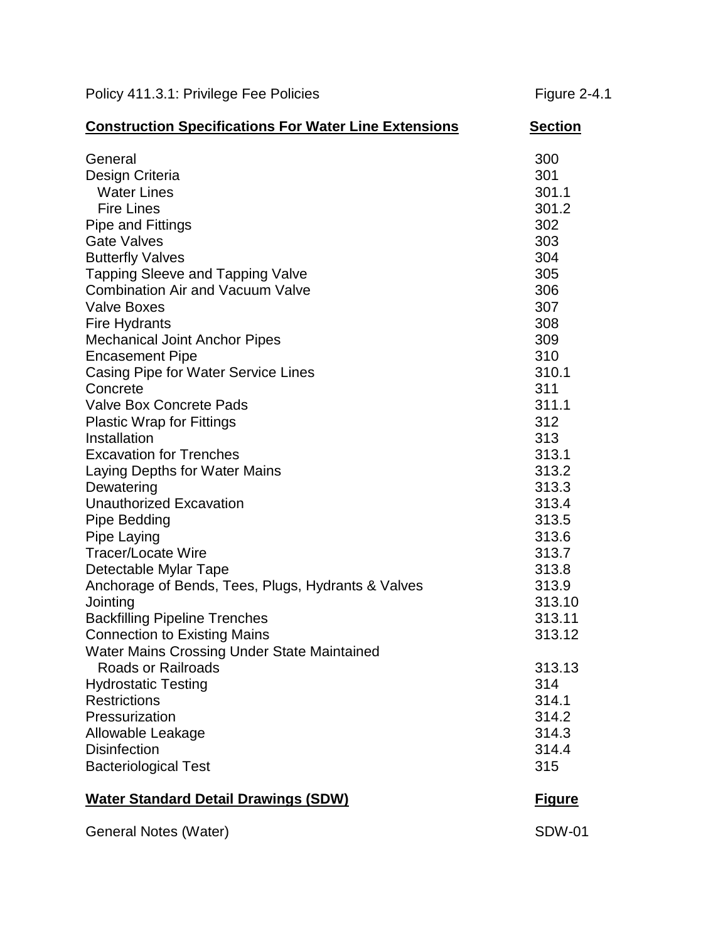| Policy 411.3.1: Privilege Fee Policies | <b>Figure 2-4.1</b> |
|----------------------------------------|---------------------|
|                                        |                     |

| <b>Construction Specifications For Water Line Extensions</b>                                                                                                                                                                                                                                                                                                                                                                                                                                                                                                                                                                                                                                                                                                                                          | <b>Section</b>                                                                                                                                                                                                                          |
|-------------------------------------------------------------------------------------------------------------------------------------------------------------------------------------------------------------------------------------------------------------------------------------------------------------------------------------------------------------------------------------------------------------------------------------------------------------------------------------------------------------------------------------------------------------------------------------------------------------------------------------------------------------------------------------------------------------------------------------------------------------------------------------------------------|-----------------------------------------------------------------------------------------------------------------------------------------------------------------------------------------------------------------------------------------|
| General<br>Design Criteria<br><b>Water Lines</b><br><b>Fire Lines</b><br>Pipe and Fittings<br><b>Gate Valves</b><br><b>Butterfly Valves</b><br><b>Tapping Sleeve and Tapping Valve</b><br><b>Combination Air and Vacuum Valve</b><br><b>Valve Boxes</b><br>Fire Hydrants<br><b>Mechanical Joint Anchor Pipes</b><br><b>Encasement Pipe</b><br>Casing Pipe for Water Service Lines<br>Concrete<br><b>Valve Box Concrete Pads</b><br><b>Plastic Wrap for Fittings</b><br>Installation<br><b>Excavation for Trenches</b><br>Laying Depths for Water Mains<br>Dewatering<br><b>Unauthorized Excavation</b><br>Pipe Bedding<br>Pipe Laying<br><b>Tracer/Locate Wire</b><br>Detectable Mylar Tape<br>Anchorage of Bends, Tees, Plugs, Hydrants & Valves<br>Jointing<br><b>Backfilling Pipeline Trenches</b> | 300<br>301<br>301.1<br>301.2<br>302<br>303<br>304<br>305<br>306<br>307<br>308<br>309<br>310<br>310.1<br>311<br>311.1<br>312<br>313<br>313.1<br>313.2<br>313.3<br>313.4<br>313.5<br>313.6<br>313.7<br>313.8<br>313.9<br>313.10<br>313.11 |
| <b>Connection to Existing Mains</b>                                                                                                                                                                                                                                                                                                                                                                                                                                                                                                                                                                                                                                                                                                                                                                   | 313.12                                                                                                                                                                                                                                  |
| Water Mains Crossing Under State Maintained<br><b>Roads or Railroads</b><br><b>Hydrostatic Testing</b><br><b>Restrictions</b><br>Pressurization<br>Allowable Leakage<br><b>Disinfection</b><br><b>Bacteriological Test</b>                                                                                                                                                                                                                                                                                                                                                                                                                                                                                                                                                                            | 313.13<br>314<br>314.1<br>314.2<br>314.3<br>314.4<br>315                                                                                                                                                                                |
| <b>Water Standard Detail Drawings (SDW)</b>                                                                                                                                                                                                                                                                                                                                                                                                                                                                                                                                                                                                                                                                                                                                                           | <u>Figure</u>                                                                                                                                                                                                                           |
| General Notes (Water)                                                                                                                                                                                                                                                                                                                                                                                                                                                                                                                                                                                                                                                                                                                                                                                 | <b>SDW-01</b>                                                                                                                                                                                                                           |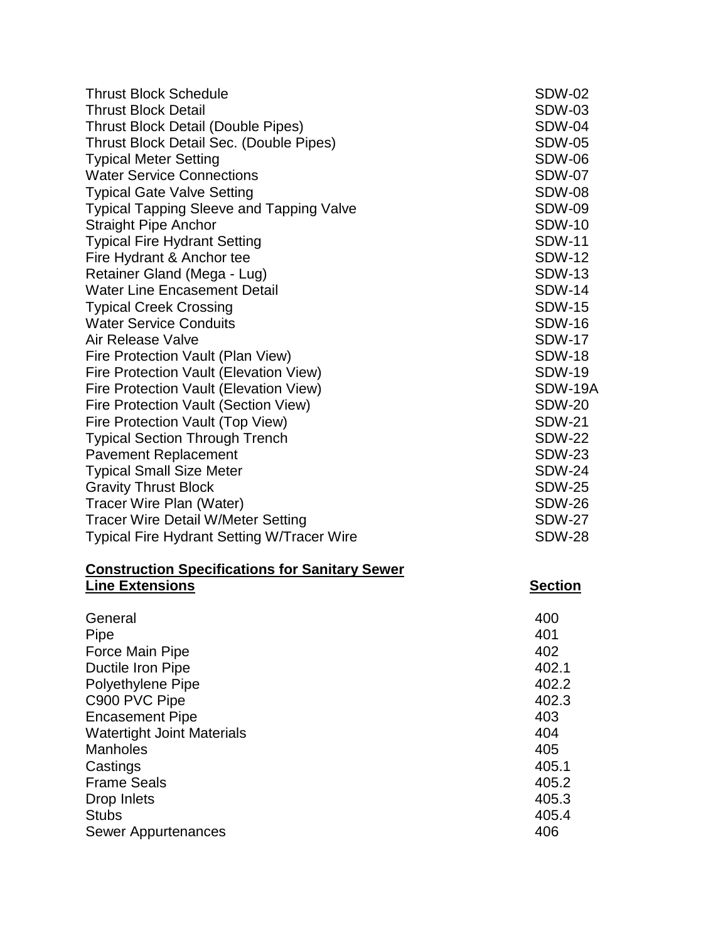| <b>Thrust Block Schedule</b>                          | <b>SDW-02</b>  |
|-------------------------------------------------------|----------------|
| <b>Thrust Block Detail</b>                            | <b>SDW-03</b>  |
| <b>Thrust Block Detail (Double Pipes)</b>             | <b>SDW-04</b>  |
| Thrust Block Detail Sec. (Double Pipes)               | <b>SDW-05</b>  |
| <b>Typical Meter Setting</b>                          | <b>SDW-06</b>  |
| <b>Water Service Connections</b>                      | <b>SDW-07</b>  |
| <b>Typical Gate Valve Setting</b>                     | <b>SDW-08</b>  |
| <b>Typical Tapping Sleeve and Tapping Valve</b>       | <b>SDW-09</b>  |
| <b>Straight Pipe Anchor</b>                           | <b>SDW-10</b>  |
| <b>Typical Fire Hydrant Setting</b>                   | <b>SDW-11</b>  |
| Fire Hydrant & Anchor tee                             | <b>SDW-12</b>  |
| Retainer Gland (Mega - Lug)                           | <b>SDW-13</b>  |
| <b>Water Line Encasement Detail</b>                   | <b>SDW-14</b>  |
| <b>Typical Creek Crossing</b>                         | <b>SDW-15</b>  |
| <b>Water Service Conduits</b>                         | <b>SDW-16</b>  |
| Air Release Valve                                     | <b>SDW-17</b>  |
| Fire Protection Vault (Plan View)                     | <b>SDW-18</b>  |
| Fire Protection Vault (Elevation View)                | <b>SDW-19</b>  |
| Fire Protection Vault (Elevation View)                | SDW-19A        |
| Fire Protection Vault (Section View)                  | <b>SDW-20</b>  |
| Fire Protection Vault (Top View)                      | <b>SDW-21</b>  |
| <b>Typical Section Through Trench</b>                 | <b>SDW-22</b>  |
| <b>Pavement Replacement</b>                           | <b>SDW-23</b>  |
| <b>Typical Small Size Meter</b>                       | <b>SDW-24</b>  |
| <b>Gravity Thrust Block</b>                           | <b>SDW-25</b>  |
| Tracer Wire Plan (Water)                              | <b>SDW-26</b>  |
| <b>Tracer Wire Detail W/Meter Setting</b>             | <b>SDW-27</b>  |
| <b>Typical Fire Hydrant Setting W/Tracer Wire</b>     | <b>SDW-28</b>  |
| <b>Construction Specifications for Sanitary Sewer</b> |                |
| <b>Line Extensions</b>                                | <b>Section</b> |
| General                                               | 400            |
| Pipe                                                  | 401            |
| Force Main Pipe                                       | 402            |
| Ductile Iron Pipe                                     | 402.1          |
| Polyethylene Pipe                                     | 402.2          |
| C900 PVC Pipe                                         | 402.3          |
| <b>Encasement Pipe</b>                                | 403            |
| <b>Watertight Joint Materials</b>                     | 404            |
| <b>Manholes</b>                                       | 405            |
| Castings                                              | 405.1          |
| <b>Frame Seals</b>                                    | 405.2          |
| Drop Inlets                                           | 405.3          |
| <b>Stubs</b>                                          | 405.4          |
| Sewer Appurtenances                                   | 406            |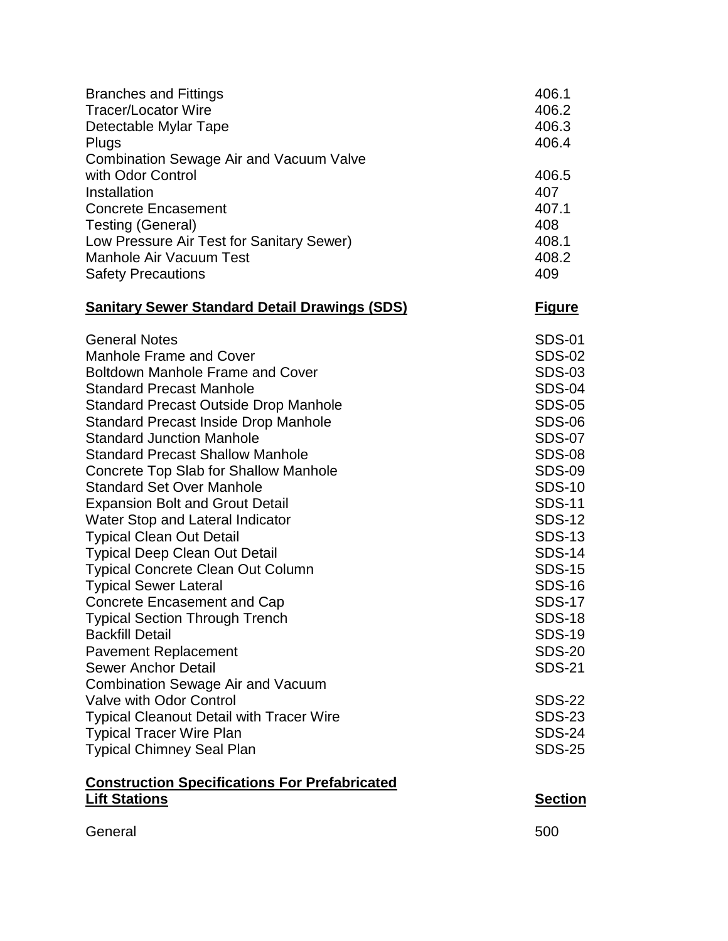| <b>Branches and Fittings</b>                         | 406.1          |
|------------------------------------------------------|----------------|
| <b>Tracer/Locator Wire</b>                           | 406.2          |
| Detectable Mylar Tape                                | 406.3          |
| Plugs                                                | 406.4          |
| <b>Combination Sewage Air and Vacuum Valve</b>       |                |
| with Odor Control                                    | 406.5          |
| Installation                                         | 407            |
| <b>Concrete Encasement</b>                           | 407.1          |
| Testing (General)                                    | 408            |
| Low Pressure Air Test for Sanitary Sewer)            | 408.1          |
| <b>Manhole Air Vacuum Test</b>                       | 408.2          |
| <b>Safety Precautions</b>                            | 409            |
| <b>Sanitary Sewer Standard Detail Drawings (SDS)</b> | <u>Figure</u>  |
| <b>General Notes</b>                                 | <b>SDS-01</b>  |
| Manhole Frame and Cover                              | <b>SDS-02</b>  |
| <b>Boltdown Manhole Frame and Cover</b>              | <b>SDS-03</b>  |
| <b>Standard Precast Manhole</b>                      | <b>SDS-04</b>  |
| <b>Standard Precast Outside Drop Manhole</b>         | <b>SDS-05</b>  |
| <b>Standard Precast Inside Drop Manhole</b>          | <b>SDS-06</b>  |
| <b>Standard Junction Manhole</b>                     | <b>SDS-07</b>  |
| <b>Standard Precast Shallow Manhole</b>              | <b>SDS-08</b>  |
| <b>Concrete Top Slab for Shallow Manhole</b>         | <b>SDS-09</b>  |
| <b>Standard Set Over Manhole</b>                     | <b>SDS-10</b>  |
| <b>Expansion Bolt and Grout Detail</b>               | <b>SDS-11</b>  |
| Water Stop and Lateral Indicator                     | <b>SDS-12</b>  |
| <b>Typical Clean Out Detail</b>                      | <b>SDS-13</b>  |
| <b>Typical Deep Clean Out Detail</b>                 | <b>SDS-14</b>  |
| <b>Typical Concrete Clean Out Column</b>             | <b>SDS-15</b>  |
| <b>Typical Sewer Lateral</b>                         | <b>SDS-16</b>  |
| <b>Concrete Encasement and Cap</b>                   | <b>SDS-17</b>  |
| <b>Typical Section Through Trench</b>                | <b>SDS-18</b>  |
| <b>Backfill Detail</b>                               | <b>SDS-19</b>  |
| <b>Pavement Replacement</b>                          | <b>SDS-20</b>  |
| <b>Sewer Anchor Detail</b>                           | <b>SDS-21</b>  |
| <b>Combination Sewage Air and Vacuum</b>             |                |
| Valve with Odor Control                              | <b>SDS-22</b>  |
| <b>Typical Cleanout Detail with Tracer Wire</b>      | <b>SDS-23</b>  |
| <b>Typical Tracer Wire Plan</b>                      | <b>SDS-24</b>  |
| <b>Typical Chimney Seal Plan</b>                     | <b>SDS-25</b>  |
| <b>Construction Specifications For Prefabricated</b> |                |
| <b>Lift Stations</b>                                 | <b>Section</b> |
| General                                              | 500            |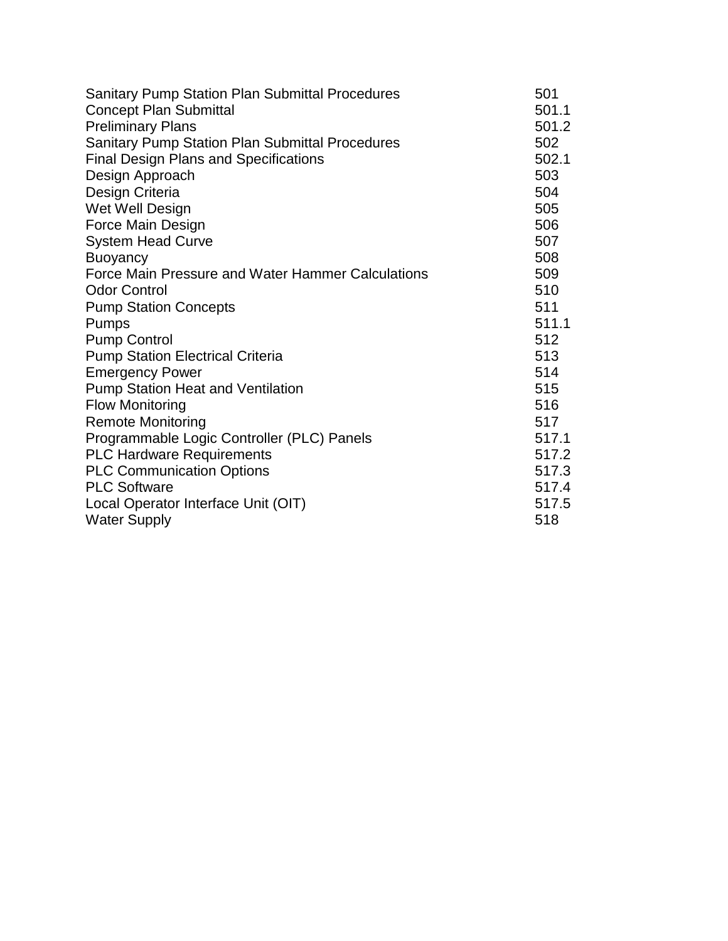| <b>Sanitary Pump Station Plan Submittal Procedures</b> | 501   |
|--------------------------------------------------------|-------|
| <b>Concept Plan Submittal</b>                          | 501.1 |
| <b>Preliminary Plans</b>                               | 501.2 |
| Sanitary Pump Station Plan Submittal Procedures        | 502   |
| <b>Final Design Plans and Specifications</b>           | 502.1 |
| Design Approach                                        | 503   |
| Design Criteria                                        | 504   |
| Wet Well Design                                        | 505   |
| Force Main Design                                      | 506   |
| <b>System Head Curve</b>                               | 507   |
| <b>Buoyancy</b>                                        | 508   |
| Force Main Pressure and Water Hammer Calculations      | 509   |
| <b>Odor Control</b>                                    | 510   |
| <b>Pump Station Concepts</b>                           | 511   |
| Pumps                                                  | 511.1 |
| <b>Pump Control</b>                                    | 512   |
| <b>Pump Station Electrical Criteria</b>                | 513   |
| <b>Emergency Power</b>                                 | 514   |
| <b>Pump Station Heat and Ventilation</b>               | 515   |
| <b>Flow Monitoring</b>                                 | 516   |
| <b>Remote Monitoring</b>                               | 517   |
| Programmable Logic Controller (PLC) Panels             | 517.1 |
| <b>PLC Hardware Requirements</b>                       | 517.2 |
| <b>PLC Communication Options</b>                       | 517.3 |
| <b>PLC Software</b>                                    | 517.4 |
| Local Operator Interface Unit (OIT)                    | 517.5 |
| <b>Water Supply</b>                                    | 518   |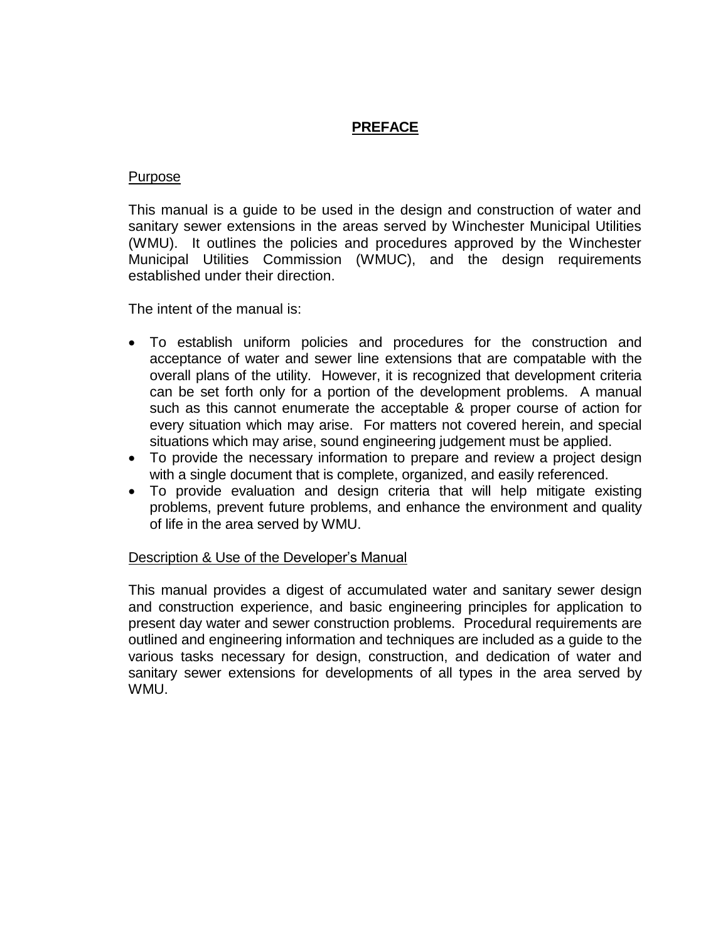## **PREFACE**

#### Purpose

This manual is a guide to be used in the design and construction of water and sanitary sewer extensions in the areas served by Winchester Municipal Utilities (WMU). It outlines the policies and procedures approved by the Winchester Municipal Utilities Commission (WMUC), and the design requirements established under their direction.

The intent of the manual is:

- To establish uniform policies and procedures for the construction and acceptance of water and sewer line extensions that are compatable with the overall plans of the utility. However, it is recognized that development criteria can be set forth only for a portion of the development problems. A manual such as this cannot enumerate the acceptable & proper course of action for every situation which may arise. For matters not covered herein, and special situations which may arise, sound engineering judgement must be applied.
- To provide the necessary information to prepare and review a project design with a single document that is complete, organized, and easily referenced.
- To provide evaluation and design criteria that will help mitigate existing problems, prevent future problems, and enhance the environment and quality of life in the area served by WMU.

### Description & Use of the Developer's Manual

This manual provides a digest of accumulated water and sanitary sewer design and construction experience, and basic engineering principles for application to present day water and sewer construction problems. Procedural requirements are outlined and engineering information and techniques are included as a guide to the various tasks necessary for design, construction, and dedication of water and sanitary sewer extensions for developments of all types in the area served by WMU.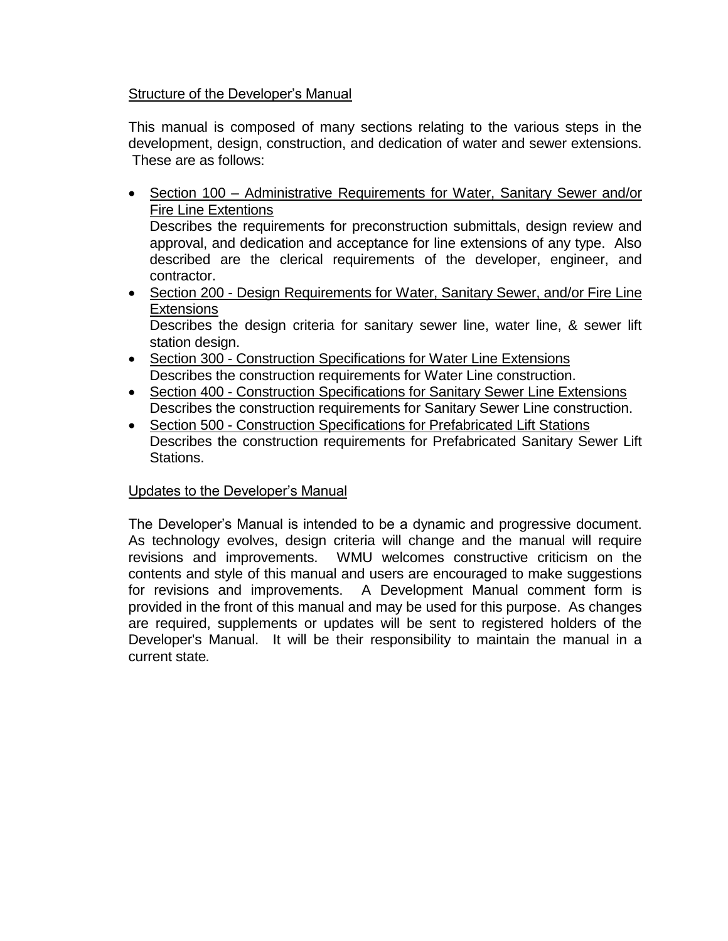### Structure of the Developer's Manual

This manual is composed of many sections relating to the various steps in the development, design, construction, and dedication of water and sewer extensions. These are as follows:

- Section 100 Administrative Requirements for Water, Sanitary Sewer and/or Fire Line Extentions Describes the requirements for preconstruction submittals, design review and approval, and dedication and acceptance for line extensions of any type. Also described are the clerical requirements of the developer, engineer, and contractor.
- Section 200 Design Requirements for Water, Sanitary Sewer, and/or Fire Line **Extensions**

Describes the design criteria for sanitary sewer line, water line, & sewer lift station design.

- Section 300 Construction Specifications for Water Line Extensions Describes the construction requirements for Water Line construction.
- Section 400 Construction Specifications for Sanitary Sewer Line Extensions Describes the construction requirements for Sanitary Sewer Line construction.
- Section 500 Construction Specifications for Prefabricated Lift Stations Describes the construction requirements for Prefabricated Sanitary Sewer Lift Stations.

### Updates to the Developer's Manual

The Developer's Manual is intended to be a dynamic and progressive document. As technology evolves, design criteria will change and the manual will require revisions and improvements. WMU welcomes constructive criticism on the contents and style of this manual and users are encouraged to make suggestions for revisions and improvements. A Development Manual comment form is provided in the front of this manual and may be used for this purpose. As changes are required, supplements or updates will be sent to registered holders of the Developer's Manual. It will be their responsibility to maintain the manual in a current state*.*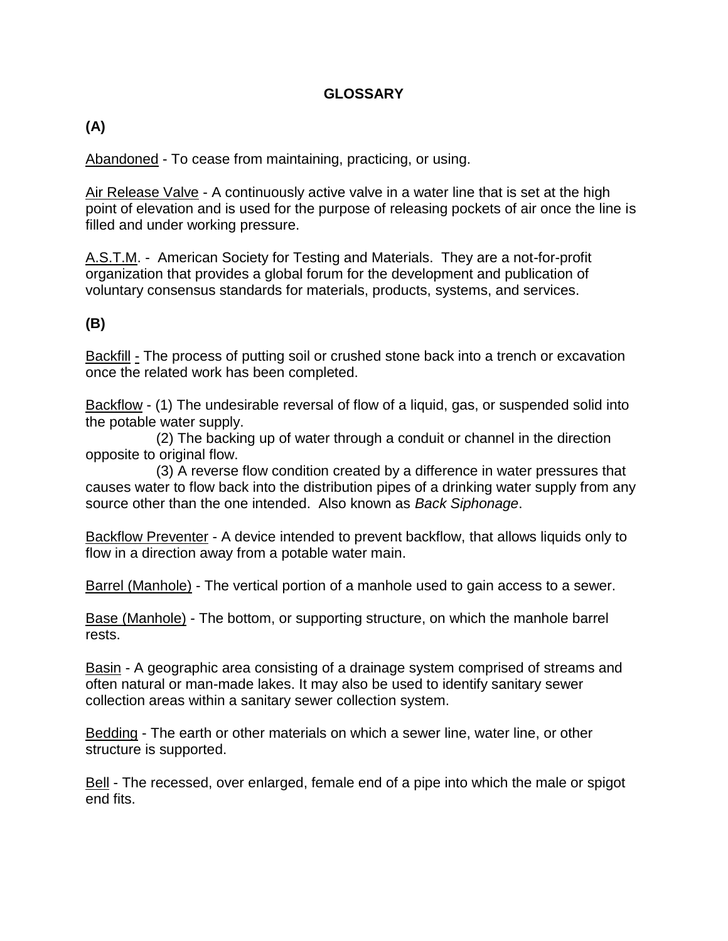## **GLOSSARY**

## **(A)**

Abandoned - To cease from maintaining, practicing, or using.

Air Release Valve - A continuously active valve in a water line that is set at the high point of elevation and is used for the purpose of releasing pockets of air once the line is filled and under working pressure.

A.S.T.M. - American Society for Testing and Materials. They are a not-for-profit organization that provides a global forum for the development and publication of voluntary consensus standards for materials, products, systems, and services.

### **(B)**

Backfill - The process of putting soil or crushed stone back into a trench or excavation once the related work has been completed.

Backflow - (1) The undesirable reversal of flow of a liquid, gas, or suspended solid into the potable water supply.

 (2) The backing up of water through a conduit or channel in the direction opposite to original flow.

 (3) A reverse flow condition created by a difference in water pressures that causes water to flow back into the distribution pipes of a drinking water supply from any source other than the one intended. Also known as *Back Siphonage*.

Backflow Preventer - A device intended to prevent backflow, that allows liquids only to flow in a direction away from a potable water main.

Barrel (Manhole) - The vertical portion of a manhole used to gain access to a sewer.

Base (Manhole) - The bottom, or supporting structure, on which the manhole barrel rests.

Basin - A geographic area consisting of a drainage system comprised of streams and often natural or man-made lakes. It may also be used to identify sanitary sewer collection areas within a sanitary sewer collection system.

Bedding - The earth or other materials on which a sewer line, water line, or other structure is supported.

Bell - The recessed, over enlarged, female end of a pipe into which the male or spigot end fits.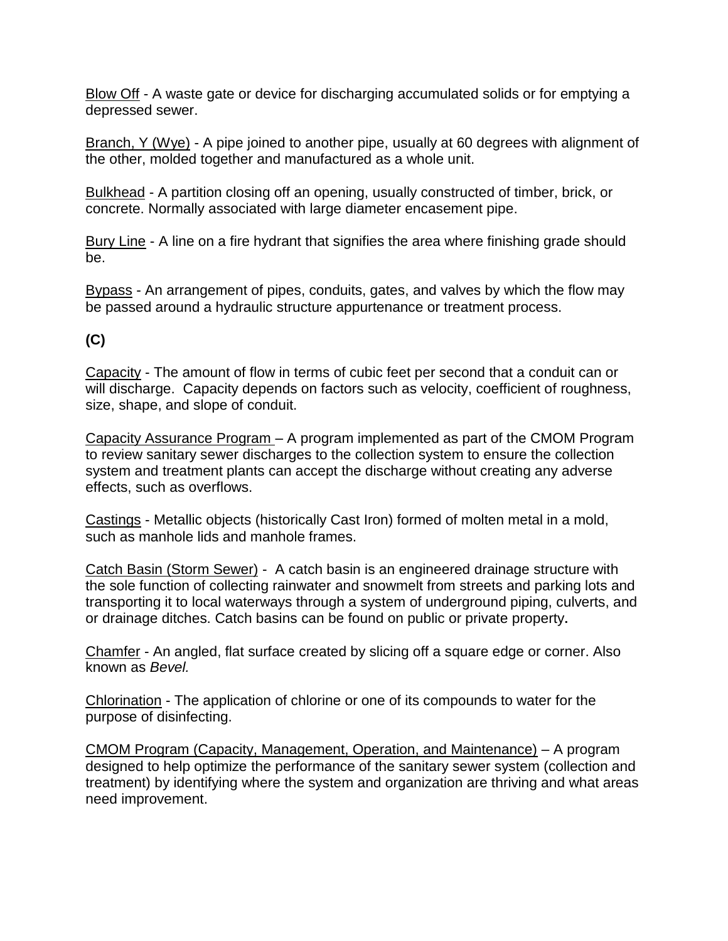Blow Off - A waste gate or device for discharging accumulated solids or for emptying a depressed sewer.

Branch, Y (Wye) - A pipe joined to another pipe, usually at 60 degrees with alignment of the other, molded together and manufactured as a whole unit.

Bulkhead - A partition closing off an opening, usually constructed of timber, brick, or concrete. Normally associated with large diameter encasement pipe.

Bury Line - A line on a fire hydrant that signifies the area where finishing grade should be.

Bypass - An arrangement of pipes, conduits, gates, and valves by which the flow may be passed around a hydraulic structure appurtenance or treatment process.

# **(C)**

Capacity - The amount of flow in terms of cubic feet per second that a conduit can or will discharge. Capacity depends on factors such as velocity, coefficient of roughness, size, shape, and slope of conduit.

Capacity Assurance Program – A program implemented as part of the CMOM Program to review sanitary sewer discharges to the collection system to ensure the collection system and treatment plants can accept the discharge without creating any adverse effects, such as overflows.

Castings - Metallic objects (historically Cast Iron) formed of molten metal in a mold, such as manhole lids and manhole frames.

Catch Basin (Storm Sewer) - A catch basin is an engineered drainage structure with the sole function of collecting rainwater and snowmelt from streets and parking lots and transporting it to local waterways through a system of underground piping, culverts, and or drainage ditches. Catch basins can be found on public or private property**.**

Chamfer - An angled, flat surface created by slicing off a square edge or corner. Also known as *Bevel.*

Chlorination - The application of chlorine or one of its compounds to water for the purpose of disinfecting.

CMOM Program (Capacity, Management, Operation, and Maintenance) – A program designed to help optimize the performance of the sanitary sewer system (collection and treatment) by identifying where the system and organization are thriving and what areas need improvement.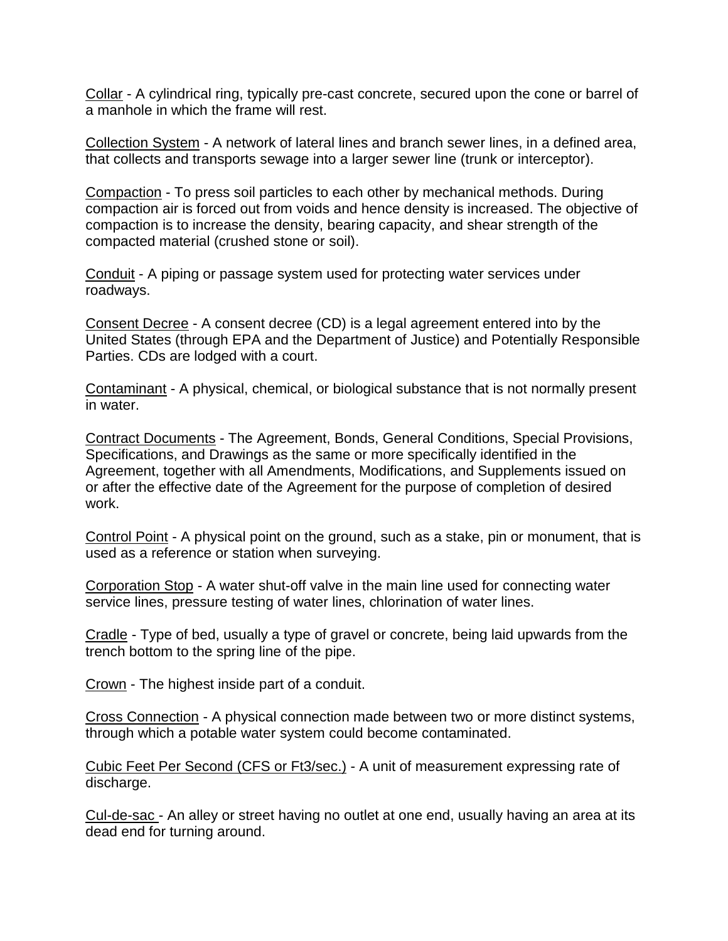Collar - A cylindrical ring, typically pre-cast concrete, secured upon the cone or barrel of a manhole in which the frame will rest.

Collection System - A network of lateral lines and branch sewer lines, in a defined area, that collects and transports sewage into a larger sewer line (trunk or interceptor).

Compaction - To press soil particles to each other by mechanical methods. During compaction air is forced out from voids and hence density is increased. The objective of compaction is to increase the density, bearing capacity, and shear strength of the compacted material (crushed stone or soil).

Conduit - A piping or passage system used for protecting water services under roadways.

Consent Decree - A consent decree (CD) is a legal agreement entered into by the United States (through EPA and the Department of Justice) and Potentially Responsible Parties. CDs are lodged with a court.

Contaminant - A physical, chemical, or biological substance that is not normally present in water.

Contract Documents - The Agreement, Bonds, General Conditions, Special Provisions, Specifications, and Drawings as the same or more specifically identified in the Agreement, together with all Amendments, Modifications, and Supplements issued on or after the effective date of the Agreement for the purpose of completion of desired work.

Control Point - A physical point on the ground, such as a stake, pin or monument, that is used as a reference or station when surveying.

Corporation Stop - A water shut-off valve in the main line used for connecting water service lines, pressure testing of water lines, chlorination of water lines.

Cradle - Type of bed, usually a type of gravel or concrete, being laid upwards from the trench bottom to the spring line of the pipe.

Crown - The highest inside part of a conduit.

Cross Connection - A physical connection made between two or more distinct systems, through which a potable water system could become contaminated.

Cubic Feet Per Second (CFS or Ft3/sec.) - A unit of measurement expressing rate of discharge.

Cul-de-sac - An alley or street having no outlet at one end, usually having an area at its dead end for turning around.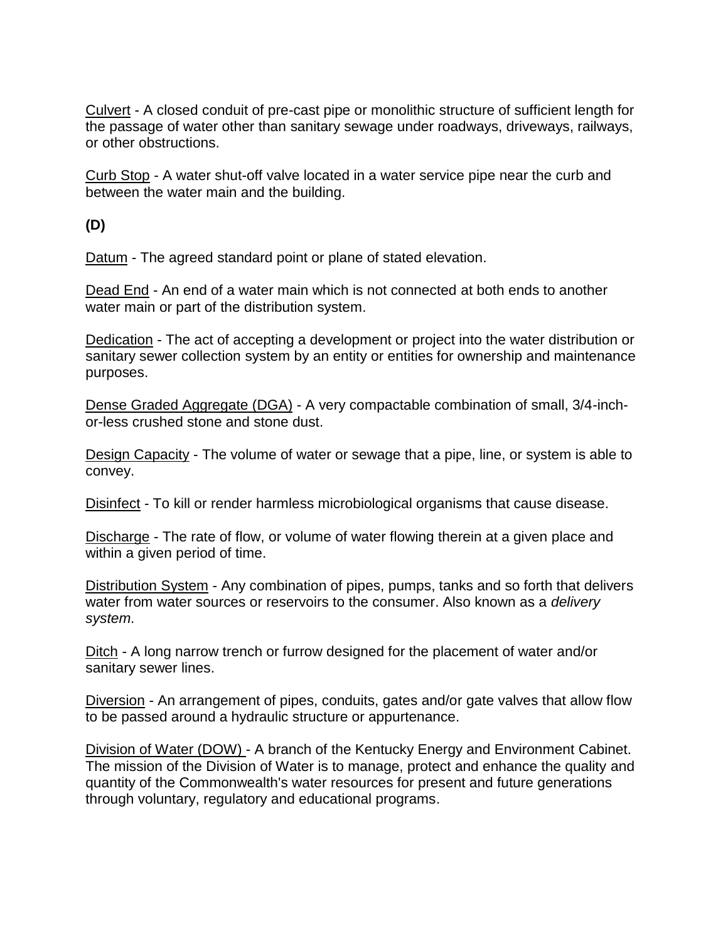Culvert - A closed conduit of pre-cast pipe or monolithic structure of sufficient length for the passage of water other than sanitary sewage under roadways, driveways, railways, or other obstructions.

Curb Stop - A water shut-off valve located in a water service pipe near the curb and between the water main and the building.

**(D)**

Datum - The agreed standard point or plane of stated elevation.

Dead End - An end of a water main which is not connected at both ends to another water main or part of the distribution system.

Dedication - The act of accepting a development or project into the water distribution or sanitary sewer collection system by an entity or entities for ownership and maintenance purposes.

Dense Graded Aggregate (DGA) - A very compactable combination of small, 3/4-inchor-less crushed stone and stone dust.

Design Capacity - The volume of water or sewage that a pipe, line, or system is able to convey.

Disinfect - To kill or render harmless microbiological organisms that cause disease.

Discharge - The rate of flow, or volume of water flowing therein at a given place and within a given period of time.

Distribution System - Any combination of pipes, pumps, tanks and so forth that delivers water from water sources or reservoirs to the consumer. Also known as a *delivery system*.

Ditch - A long narrow trench or furrow designed for the placement of water and/or sanitary sewer lines.

Diversion - An arrangement of pipes, conduits, gates and/or gate valves that allow flow to be passed around a hydraulic structure or appurtenance.

Division of Water (DOW) - A branch of the Kentucky Energy and Environment Cabinet. The mission of the Division of Water is to manage, protect and enhance the quality and quantity of the Commonwealth's water resources for present and future generations through voluntary, regulatory and educational programs.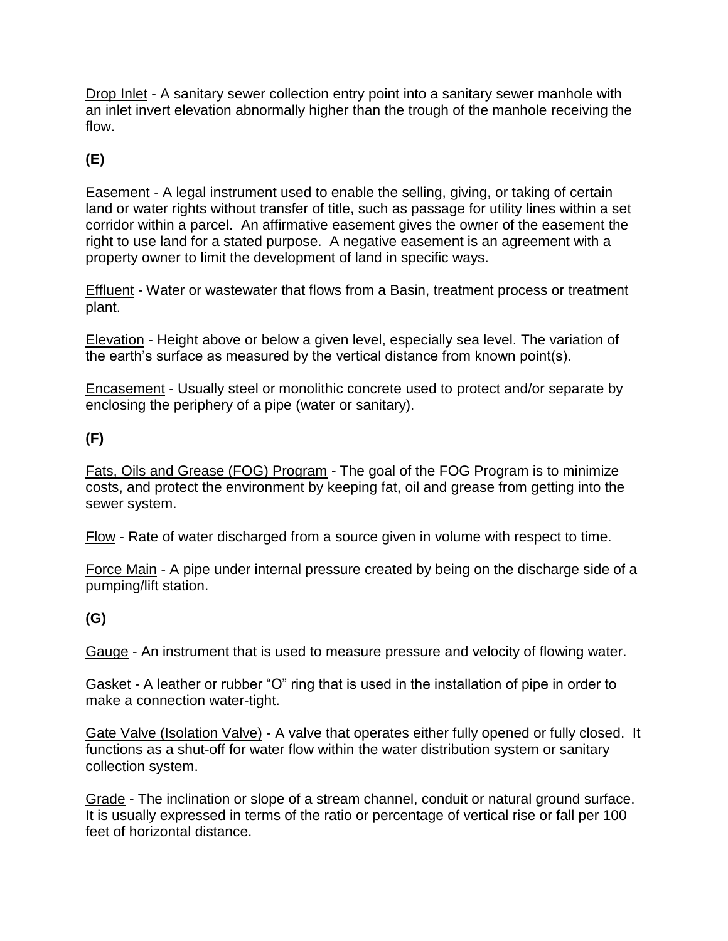Drop Inlet - A sanitary sewer collection entry point into a sanitary sewer manhole with an inlet invert elevation abnormally higher than the trough of the manhole receiving the flow.

# **(E)**

Easement - A legal instrument used to enable the selling, giving, or taking of certain land or water rights without transfer of title, such as passage for utility lines within a set corridor within a parcel. An affirmative easement gives the owner of the easement the right to use land for a stated purpose. A negative easement is an agreement with a property owner to limit the development of land in specific ways.

Effluent - Water or wastewater that flows from a Basin, treatment process or treatment plant.

Elevation - Height above or below a given level, especially sea level. The variation of the earth's surface as measured by the vertical distance from known point(s).

Encasement - Usually steel or monolithic concrete used to protect and/or separate by enclosing the periphery of a pipe (water or sanitary).

## **(F)**

Fats, Oils and Grease (FOG) Program - The goal of the FOG Program is to minimize costs, and protect the environment by keeping fat, oil and grease from getting into the sewer system.

Flow - Rate of water discharged from a source given in volume with respect to time.

Force Main - A pipe under internal pressure created by being on the discharge side of a pumping/lift station.

## **(G)**

Gauge - An instrument that is used to measure pressure and velocity of flowing water.

Gasket - A leather or rubber "O" ring that is used in the installation of pipe in order to make a connection water-tight.

Gate Valve (Isolation Valve) - A valve that operates either fully opened or fully closed. It functions as a shut-off for water flow within the water distribution system or sanitary collection system.

Grade - The inclination or slope of a stream channel, conduit or natural ground surface. It is usually expressed in terms of the ratio or percentage of vertical rise or fall per 100 feet of horizontal distance.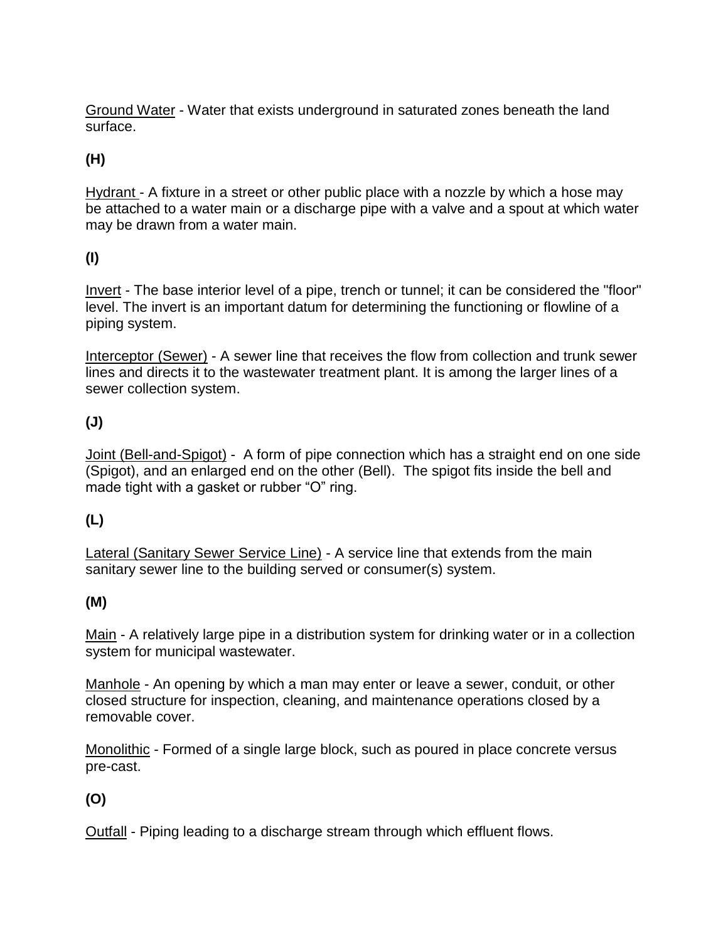Ground Water - Water that exists underground in saturated zones beneath the land surface.

# **(H)**

Hydrant - A fixture in a street or other public place with a nozzle by which a hose may be attached to a water main or a discharge pipe with a valve and a spout at which water may be drawn from a water main.

# **(I)**

Invert - The base interior level of a pipe, trench or tunnel; it can be considered the "floor" level. The invert is an important datum for determining the functioning or flowline of a piping system.

Interceptor (Sewer) - A sewer line that receives the flow from collection and trunk sewer lines and directs it to the wastewater treatment plant. It is among the larger lines of a sewer collection system.

# **(J)**

Joint (Bell-and-Spigot) - A form of pipe connection which has a straight end on one side (Spigot), and an enlarged end on the other (Bell). The spigot fits inside the bell and made tight with a gasket or rubber "O" ring.

## **(L)**

Lateral (Sanitary Sewer Service Line) - A service line that extends from the main sanitary sewer line to the building served or consumer(s) system.

## **(M)**

Main - A relatively large pipe in a distribution system for drinking water or in a collection system for municipal wastewater.

Manhole - An opening by which a man may enter or leave a sewer, conduit, or other closed structure for inspection, cleaning, and maintenance operations closed by a removable cover.

Monolithic - Formed of a single large block, such as poured in place concrete versus pre-cast.

## **(O)**

Outfall - Piping leading to a discharge stream through which effluent flows.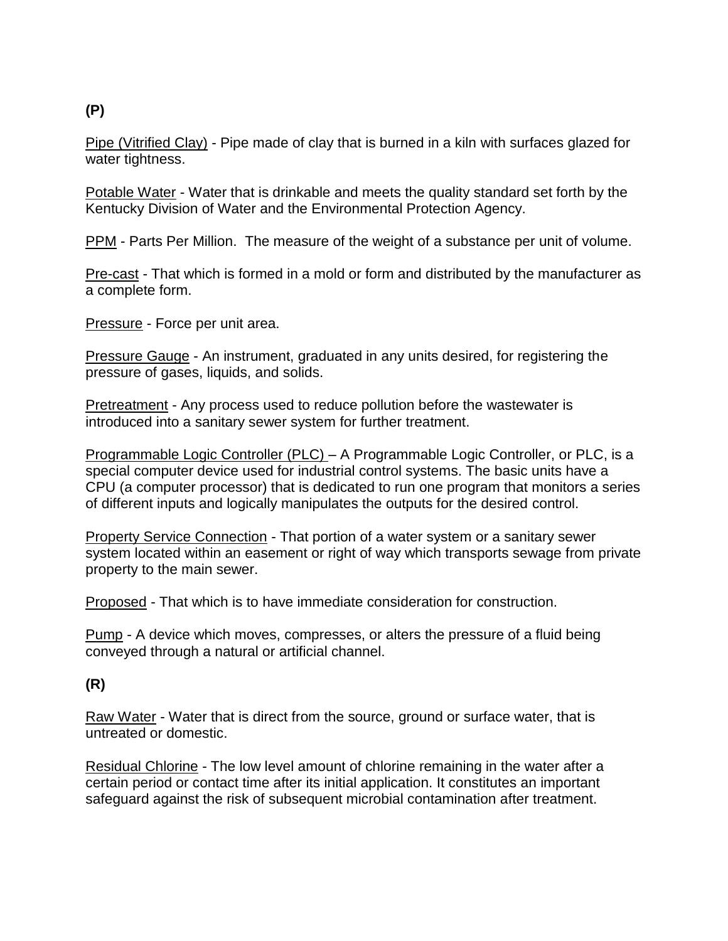# **(P)**

Pipe (Vitrified Clay) - Pipe made of clay that is burned in a kiln with surfaces glazed for water tightness.

Potable Water - Water that is drinkable and meets the quality standard set forth by the Kentucky Division of Water and the Environmental Protection Agency.

PPM - Parts Per Million. The measure of the weight of a substance per unit of volume.

Pre-cast - That which is formed in a mold or form and distributed by the manufacturer as a complete form.

Pressure - Force per unit area.

Pressure Gauge - An instrument, graduated in any units desired, for registering the pressure of gases, liquids, and solids.

Pretreatment - Any process used to reduce pollution before the wastewater is introduced into a sanitary sewer system for further treatment.

Programmable Logic Controller (PLC) – A Programmable Logic Controller, or PLC, is a special computer device used for industrial control systems. The basic units have a CPU (a computer processor) that is dedicated to run one program that monitors a series of different inputs and logically manipulates the outputs for the desired control.

Property Service Connection - That portion of a water system or a sanitary sewer system located within an easement or right of way which transports sewage from private property to the main sewer.

Proposed - That which is to have immediate consideration for construction.

Pump - A device which moves, compresses, or alters the pressure of a fluid being conveyed through a natural or artificial channel.

## **(R)**

Raw Water - Water that is direct from the source, ground or surface water, that is untreated or domestic.

Residual Chlorine - The low level amount of chlorine remaining in the water after a certain period or contact time after its initial application. It constitutes an important safeguard against the risk of subsequent microbial contamination after treatment.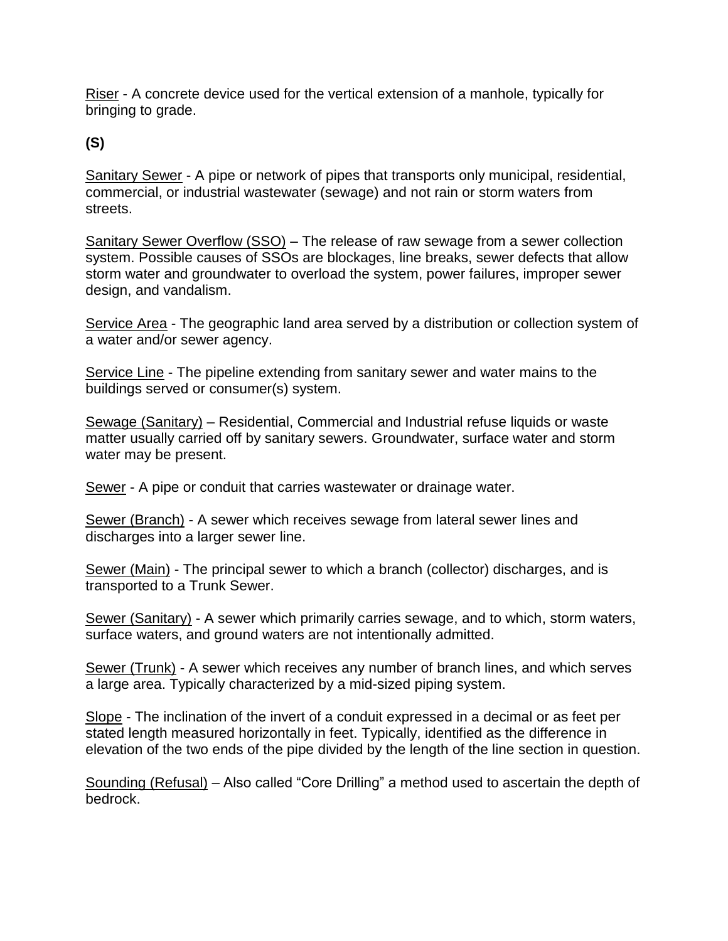Riser - A concrete device used for the vertical extension of a manhole, typically for bringing to grade.

**(S)**

Sanitary Sewer - A pipe or network of pipes that transports only municipal, residential, commercial, or industrial wastewater (sewage) and not rain or storm waters from streets.

Sanitary Sewer Overflow (SSO) – The release of raw sewage from a sewer collection system. Possible causes of SSOs are blockages, line breaks, sewer defects that allow storm water and groundwater to overload the system, power failures, improper sewer design, and vandalism.

Service Area - The geographic land area served by a distribution or collection system of a water and/or sewer agency.

Service Line - The pipeline extending from sanitary sewer and water mains to the buildings served or consumer(s) system.

Sewage (Sanitary) – Residential, Commercial and Industrial refuse liquids or waste matter usually carried off by sanitary sewers. Groundwater, surface water and storm water may be present.

Sewer - A pipe or conduit that carries wastewater or drainage water.

Sewer (Branch) - A sewer which receives sewage from lateral sewer lines and discharges into a larger sewer line.

Sewer (Main) - The principal sewer to which a branch (collector) discharges, and is transported to a Trunk Sewer.

Sewer (Sanitary) - A sewer which primarily carries sewage, and to which, storm waters, surface waters, and ground waters are not intentionally admitted.

Sewer (Trunk) - A sewer which receives any number of branch lines, and which serves a large area. Typically characterized by a mid-sized piping system.

Slope - The inclination of the invert of a conduit expressed in a decimal or as feet per stated length measured horizontally in feet. Typically, identified as the difference in elevation of the two ends of the pipe divided by the length of the line section in question.

Sounding (Refusal) – Also called "Core Drilling" a method used to ascertain the depth of bedrock.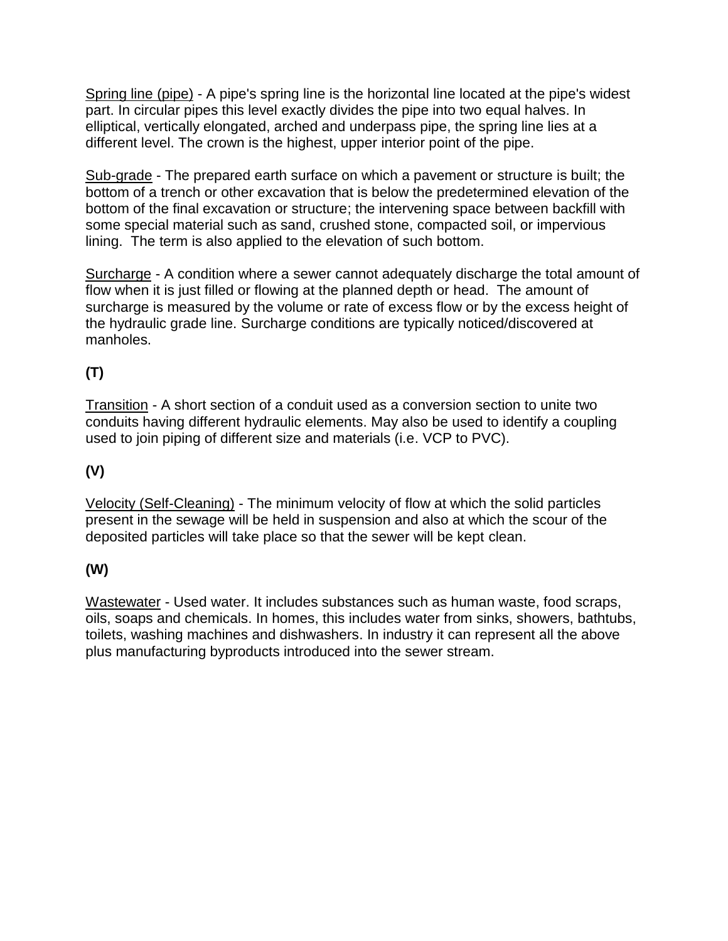Spring line (pipe) - A pipe's spring line is the horizontal line located at the pipe's widest part. In circular pipes this level exactly divides the pipe into two equal halves. In elliptical, vertically elongated, arched and underpass pipe, the spring line lies at a different level. The crown is the highest, upper interior point of the pipe.

Sub-grade - The prepared earth surface on which a pavement or structure is built; the bottom of a trench or other excavation that is below the predetermined elevation of the bottom of the final excavation or structure; the intervening space between backfill with some special material such as sand, crushed stone, compacted soil, or impervious lining. The term is also applied to the elevation of such bottom.

Surcharge - A condition where a sewer cannot adequately discharge the total amount of flow when it is just filled or flowing at the planned depth or head. The amount of surcharge is measured by the volume or rate of excess flow or by the excess height of the hydraulic grade line. Surcharge conditions are typically noticed/discovered at manholes.

# **(T)**

Transition - A short section of a conduit used as a conversion section to unite two conduits having different hydraulic elements. May also be used to identify a coupling used to join piping of different size and materials (i.e. VCP to PVC).

# **(V)**

Velocity (Self-Cleaning) - The minimum velocity of flow at which the solid particles present in the sewage will be held in suspension and also at which the scour of the deposited particles will take place so that the sewer will be kept clean.

## **(W)**

Wastewater - Used water. It includes substances such as human waste, food scraps, oils, soaps and chemicals. In homes, this includes water from sinks, showers, bathtubs, toilets, washing machines and dishwashers. In industry it can represent all the above plus manufacturing byproducts introduced into the sewer stream.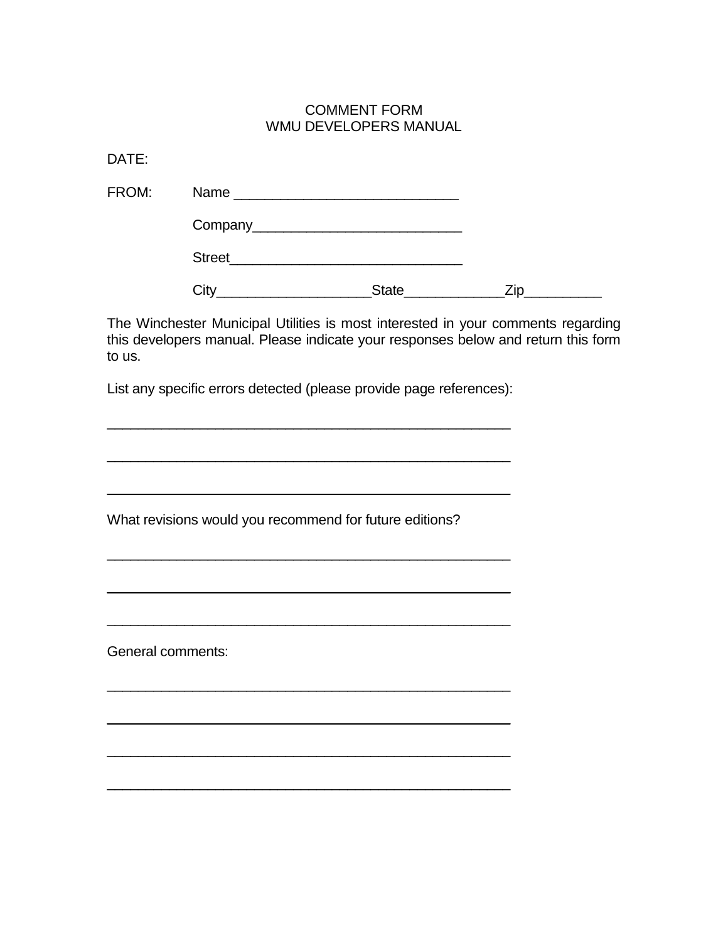### COMMENT FORM WMU DEVELOPERS MANUAL

DATE:

| FROM: |                      |              |  |
|-------|----------------------|--------------|--|
|       |                      |              |  |
|       | Street <b>Street</b> |              |  |
|       | <b>JIV</b>           | <b>State</b> |  |

The Winchester Municipal Utilities is most interested in your comments regarding this developers manual. Please indicate your responses below and return this form to us.

List any specific errors detected (please provide page references):

 $\_$  , and the set of the set of the set of the set of the set of the set of the set of the set of the set of the set of the set of the set of the set of the set of the set of the set of the set of the set of the set of th

\_\_\_\_\_\_\_\_\_\_\_\_\_\_\_\_\_\_\_\_\_\_\_\_\_\_\_\_\_\_\_\_\_\_\_\_\_\_\_\_\_\_\_\_\_\_\_\_\_\_\_\_

 $\_$  , and the set of the set of the set of the set of the set of the set of the set of the set of the set of the set of the set of the set of the set of the set of the set of the set of the set of the set of the set of th

 $\mathcal{L}_\text{max}$  , and the contract of the contract of the contract of the contract of the contract of the contract of the contract of the contract of the contract of the contract of the contract of the contract of the contr

 $\_$  , and the set of the set of the set of the set of the set of the set of the set of the set of the set of the set of the set of the set of the set of the set of the set of the set of the set of the set of the set of th

\_\_\_\_\_\_\_\_\_\_\_\_\_\_\_\_\_\_\_\_\_\_\_\_\_\_\_\_\_\_\_\_\_\_\_\_\_\_\_\_\_\_\_\_\_\_\_\_\_\_\_\_

 $\overline{\phantom{a}}$  , and the set of the set of the set of the set of the set of the set of the set of the set of the set of the set of the set of the set of the set of the set of the set of the set of the set of the set of the s

 $\mathcal{L}_\text{max}$  , and the contract of the contract of the contract of the contract of the contract of the contract of the contract of the contract of the contract of the contract of the contract of the contract of the contr

\_\_\_\_\_\_\_\_\_\_\_\_\_\_\_\_\_\_\_\_\_\_\_\_\_\_\_\_\_\_\_\_\_\_\_\_\_\_\_\_\_\_\_\_\_\_\_\_\_\_\_\_

\_\_\_\_\_\_\_\_\_\_\_\_\_\_\_\_\_\_\_\_\_\_\_\_\_\_\_\_\_\_\_\_\_\_\_\_\_\_\_\_\_\_\_\_\_\_\_\_\_\_\_\_

What revisions would you recommend for future editions?

General comments: